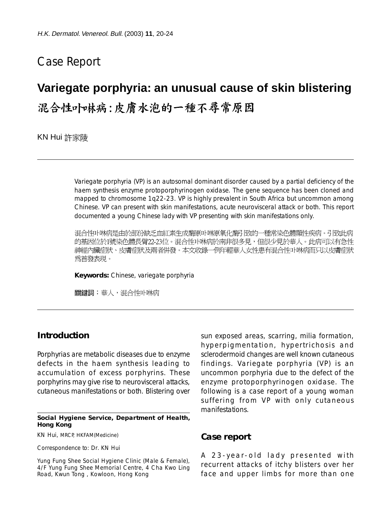## Case Report

# **Variegate porphyria: an unusual cause of skin blistering**

混合性卟啉病:皮膚水泡的一種不尋常原因

KN Hui 許家陵

Variegate porphyria (VP) is an autosomal dominant disorder caused by a partial deficiency of the haem synthesis enzyme protoporphyrinogen oxidase. The gene sequence has been cloned and mapped to chromosome 1q22-23. VP is highly prevalent in South Africa but uncommon among Chinese. VP can present with skin manifestations, acute neurovisceral attack or both. This report documented a young Chinese lady with VP presenting with skin manifestations only.

混合性卟啉病是由於部份缺乏血紅素生成酶原卟啉原氧化酶引致的一種常染色體顯性疾病。引致此病 的基因位於1號染色體長臂22-23位。混合性卟啉病於南非很多見,但很少見於華人。此病可以有急性 神經內臟症狀、皮膚症狀及兩者倂發。本文收錄一例年輕華人女性患有混合性卟啉病而只以皮膚症狀 爲首發表現。

**Keywords:** Chinese, variegate porphyria

關鍵詞:華人,混合性卟啉病

#### **Introduction**

Porphyrias are metabolic diseases due to enzyme defects in the haem synthesis leading to accumulation of excess porphyrins. These porphyrins may give rise to neurovisceral attacks, cutaneous manifestations or both. Blistering over

**Social Hygiene Service, Department of Health, Hong Kong**

KN Hui, MRCP, HKFAM(Medicine)

Correspondence to: Dr. KN Hui

Yung Fung Shee Social Hygiene Clinic (Male & Female), 4/F Yung Fung Shee Memorial Centre, 4 Cha Kwo Ling Road, Kwun Tong , Kowloon, Hong Kong

sun exposed areas, scarring, milia formation, hyperpigmentation, hypertrichosis and sclerodermoid changes are well known cutaneous findings. Variegate porphyria (VP) is an uncommon porphyria due to the defect of the enzyme protoporphyrinogen oxidase. The following is a case report of a young woman suffering from VP with only cutaneous manifestations.

#### **Case report**

A 23-year-old lady presented with recurrent attacks of itchy blisters over her face and upper limbs for more than one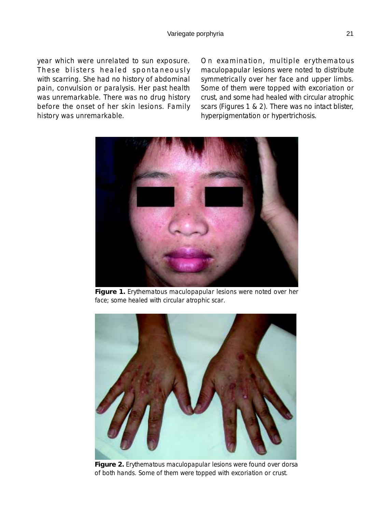year which were unrelated to sun exposure. These blisters healed spontaneously with scarring. She had no history of abdominal pain, convulsion or paralysis. Her past health was unremarkable. There was no drug history before the onset of her skin lesions. Family history was unremarkable.

On examination, multiple erythematous maculopapular lesions were noted to distribute symmetrically over her face and upper limbs. Some of them were topped with excoriation or crust, and some had healed with circular atrophic scars (Figures 1 & 2). There was no intact blister, hyperpigmentation or hypertrichosis.



**Figure 1.** Erythematous maculopapular lesions were noted over her face; some healed with circular atrophic scar.



**Figure 2.** Erythematous maculopapular lesions were found over dorsa of both hands. Some of them were topped with excoriation or crust.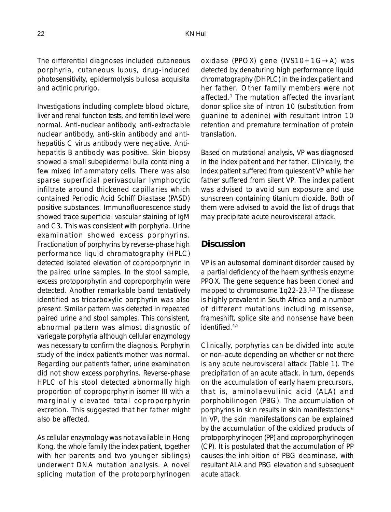The differential diagnoses included cutaneous porphyria, cutaneous lupus, drug-induced photosensitivity, epidermolysis bullosa acquisita and actinic prurigo.

Investigations including complete blood picture, liver and renal function tests, and ferritin level were normal. Anti-nuclear antibody, anti-extractable nuclear antibody, anti-skin antibody and antihepatitis C virus antibody were negative. Antihepatitis B antibody was positive. Skin biopsy showed a small subepidermal bulla containing a few mixed inflammatory cells. There was also sparse superficial perivascular lymphocytic infiltrate around thickened capillaries which contained Periodic Acid Schiff Diastase (PASD) positive substances. Immunofluorescence study showed trace superficial vascular staining of IgM and C3. This was consistent with porphyria. Urine examination showed excess porphyrins. Fractionation of porphyrins by reverse-phase high performance liquid chromatography (HPLC) detected isolated elevation of coproporphyrin in the paired urine samples. In the stool sample, excess protoporphyrin and coproporphyrin were detected. Another remarkable band tentatively identified as tricarboxylic porphyrin was also present. Similar pattern was detected in repeated paired urine and stool samples. This consistent, abnormal pattern was almost diagnostic of variegate porphyria although cellular enzymology was necessary to confirm the diagnosis. Porphyrin study of the index patient's mother was normal. Regarding our patient's father, urine examination did not show excess porphyrins. Reverse-phase HPLC of his stool detected abnormally high proportion of coproporphyrin isomer III with a marginally elevated total coproporphyrin excretion. This suggested that her father might also be affected.

As cellular enzymology was not available in Hong Kong, the whole family (the index patient, together with her parents and two younger siblings) underwent DNA mutation analysis. A novel splicing mutation of the protoporphyrinogen

oxidase (PPOX) gene (IVS10+1G→A) was detected by denaturing high performance liquid chromatography (DHPLC) in the index patient and her father. Other family members were not affected.1 The mutation affected the invariant donor splice site of intron 10 (substitution from guanine to adenine) with resultant intron 10 retention and premature termination of protein translation.

Based on mutational analysis, VP was diagnosed in the index patient and her father. Clinically, the index patient suffered from quiescent VP while her father suffered from silent VP. The index patient was advised to avoid sun exposure and use sunscreen containing titanium dioxide. Both of them were advised to avoid the list of drugs that may precipitate acute neurovisceral attack.

### **Discussion**

VP is an autosomal dominant disorder caused by a partial deficiency of the haem synthesis enzyme PPOX. The gene sequence has been cloned and mapped to chromosome 1q22-23.2,3 The disease is highly prevalent in South Africa and a number of different mutations including missense, frameshift, splice site and nonsense have been identified.<sup>4,5</sup>

Clinically, porphyrias can be divided into acute or non-acute depending on whether or not there is any acute neurovisceral attack (Table 1). The precipitation of an acute attack, in turn, depends on the accumulation of early haem precursors, that is, aminolaevulinic acid (ALA) and porphobilinogen (PBG). The accumulation of porphyrins in skin results in skin manifestations.<sup>6</sup> In VP, the skin manifestations can be explained by the accumulation of the oxidized products of protoporphyrinogen (PP) and coproporphyrinogen (CP). It is postulated that the accumulation of PP causes the inhibition of PBG deaminase, with resultant ALA and PBG elevation and subsequent acute attack.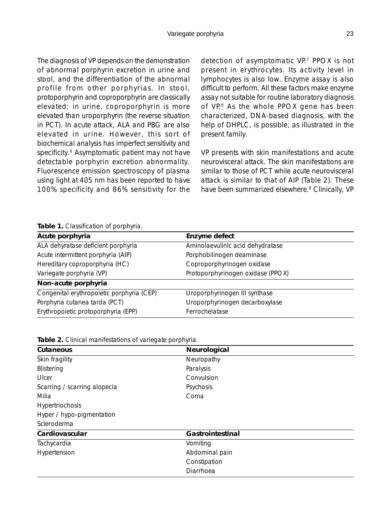The diagnosis of VP depends on the demonstration of abnormal porphyrin excretion in urine and stool, and the differentiation of the abnormal profile from other porphyrias. In stool, protoporphyrin and coproporphyrin are classically elevated; in urine, coproporphyrin is more elevated than uroporphyrin (the reverse situation in PCT). In acute attack, ALA and PBG are also elevated in urine. However, this sort of biochemical analysis has imperfect sensitivity and specificity.<sup>6</sup> Asymptomatic patient may not have detectable porphyrin excretion abnormality. Fluorescence emission spectroscopy of plasma using light at 405 nm has been reported to have 100% specificity and 86% sensitivity for the detection of asymptomatic VP.<sup>7</sup> PPOX is not present in erythrocytes. Its activity level in lymphocytes is also low. Enzyme assay is also difficult to perform. All these factors make enzyme assay not suitable for routine laboratory diagnosis of VP.<sup>6</sup> As the whole PPOX gene has been characterized, DNA-based diagnosis, with the help of DHPLC, is possible, as illustrated in the present family.

VP presents with skin manifestations and acute neurovisceral attack. The skin manifestations are similar to those of PCT while acute neurovisceral attack is similar to that of AIP (Table 2). These have been summarized elsewhere.<sup>8</sup> Clinically, VP

**Table 1.** Classification of porphyria.

| Acute porphyria                           | Enzyme defect                     |
|-------------------------------------------|-----------------------------------|
| ALA dehyratase deficient porphyria        | Aminolaevulinic acid dehydratase  |
| Acute intermittent porphyria (AIP)        | Porphobilinogen deaminase         |
| Hereditary coproporphyria (HC)            | Coproporphyrinogen oxidase        |
| Variegate porphyria (VP)                  | Protoporphyrinogen oxidase (PPOX) |
| Non-acute porphyria                       |                                   |
| Congenital erythropoietic porphyria (CEP) | Uroporphyrinogen III synthase     |
| Porphyria cutanea tarda (PCT)             | Uroporphyrinogen decarboxylase    |
| Erythropoietic protoporphyria (EPP)       | Ferrochelatase                    |

|  |  | Table 2. Clinical manifestations of variegate porphyria. |  |  |
|--|--|----------------------------------------------------------|--|--|
|--|--|----------------------------------------------------------|--|--|

| Cutaneous                    | Neurological     |
|------------------------------|------------------|
| Skin fragility               | Neuropathy       |
| Blistering                   | Paralysis        |
| Ulcer                        | Convulsion       |
| Scarring / scarring alopecia | Psychosis        |
| Milia                        | Coma             |
| Hypertriochosis              |                  |
| Hyper / hypo-pigmentation    |                  |
| Scleroderma                  |                  |
| Cardiovascular               | Gastrointestinal |
| Tachycardia                  | Vomiting         |
| Hypertension                 | Abdominal pain   |
|                              | Constipation     |
|                              | Diarrhoea        |